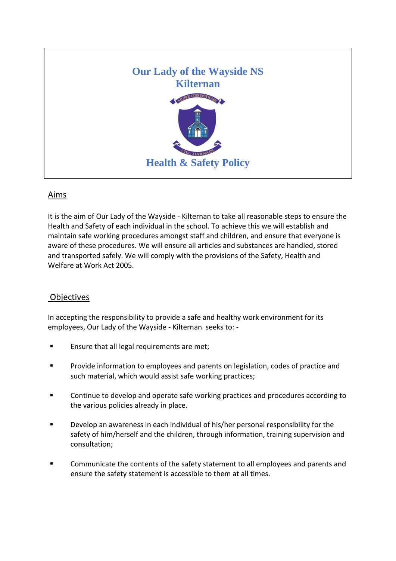

## Aims

It is the aim of Our Lady of the Wayside - Kilternan to take all reasonable steps to ensure the Health and Safety of each individual in the school. To achieve this we will establish and maintain safe working procedures amongst staff and children, and ensure that everyone is aware of these procedures. We will ensure all articles and substances are handled, stored and transported safely. We will comply with the provisions of the Safety, Health and Welfare at Work Act 2005.

## **Objectives**

In accepting the responsibility to provide a safe and healthy work environment for its employees, Our Lady of the Wayside - Kilternan seeks to: -

- Ensure that all legal requirements are met;
- Provide information to employees and parents on legislation, codes of practice and such material, which would assist safe working practices;
- Continue to develop and operate safe working practices and procedures according to the various policies already in place.
- Develop an awareness in each individual of his/her personal responsibility for the safety of him/herself and the children, through information, training supervision and consultation;
- Communicate the contents of the safety statement to all employees and parents and ensure the safety statement is accessible to them at all times.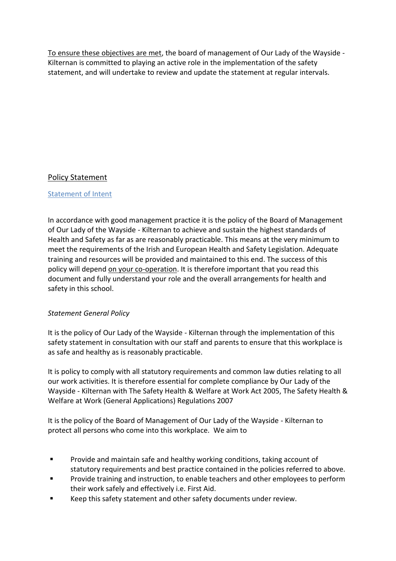To ensure these objectives are met, the board of management of Our Lady of the Wayside - Kilternan is committed to playing an active role in the implementation of the safety statement, and will undertake to review and update the statement at regular intervals.

# Policy Statement

## Statement of Intent

In accordance with good management practice it is the policy of the Board of Management of Our Lady of the Wayside - Kilternan to achieve and sustain the highest standards of Health and Safety as far as are reasonably practicable. This means at the very minimum to meet the requirements of the Irish and European Health and Safety Legislation. Adequate training and resources will be provided and maintained to this end. The success of this policy will depend on your co-operation. It is therefore important that you read this document and fully understand your role and the overall arrangements for health and safety in this school.

## *Statement General Policy*

It is the policy of Our Lady of the Wayside - Kilternan through the implementation of this safety statement in consultation with our staff and parents to ensure that this workplace is as safe and healthy as is reasonably practicable.

It is policy to comply with all statutory requirements and common law duties relating to all our work activities. It is therefore essential for complete compliance by Our Lady of the Wayside - Kilternan with The Safety Health & Welfare at Work Act 2005, The Safety Health & Welfare at Work (General Applications) Regulations 2007

It is the policy of the Board of Management of Our Lady of the Wayside - Kilternan to protect all persons who come into this workplace. We aim to

- **Provide and maintain safe and healthy working conditions, taking account of** statutory requirements and best practice contained in the policies referred to above.
- Provide training and instruction, to enable teachers and other employees to perform their work safely and effectively i.e. First Aid.
- Keep this safety statement and other safety documents under review.